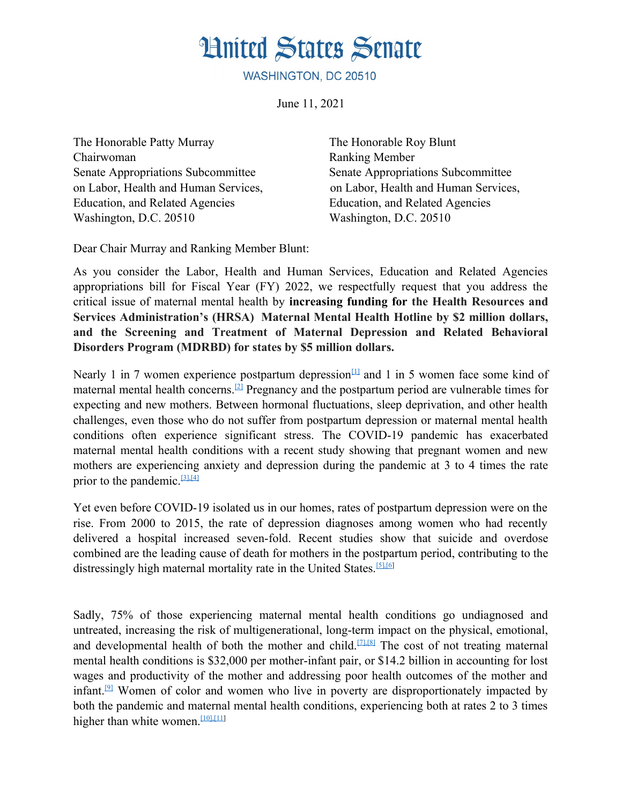## **Hnited States Senate**

WASHINGTON, DC 20510

June 11, 2021

The Honorable Patty Murray The Honorable Roy Blunt Chairwoman Ranking Member Senate Appropriations Subcommittee Senate Appropriations Subcommittee Education, and Related Agencies Education, and Related Agencies Washington, D.C. 20510 Washington, D.C. 20510

on Labor, Health and Human Services, on Labor, Health and Human Services,

Dear Chair Murray and Ranking Member Blunt:

As you consider the Labor, Health and Human Services, Education and Related Agencies appropriations bill for Fiscal Year (FY) 2022, we respectfully request that you address the critical issue of maternal mental health by **increasing funding for the Health Resources and Services Administration's (HRSA) Maternal Mental Health Hotline by \$2 million dollars, and the Screening and Treatment of Maternal Depression and Related Behavioral Disorders Program (MDRBD) for states by \$5 million dollars.**

Nearly 1 in 7 women experience postpartum depression<sup>[1]</sup> and 1 in 5 women face some kind of maternal mental health concerns.[2] Pregnancy and the postpartum period are vulnerable times for expecting and new mothers. Between hormonal fluctuations, sleep deprivation, and other health challenges, even those who do not suffer from postpartum depression or maternal mental health conditions often experience significant stress. The COVID-19 pandemic has exacerbated maternal mental health conditions with a recent study showing that pregnant women and new mothers are experiencing anxiety and depression during the pandemic at 3 to 4 times the rate prior to the pandemic.[3],[4]

Yet even before COVID-19 isolated us in our homes, rates of postpartum depression were on the rise. From 2000 to 2015, the rate of depression diagnoses among women who had recently delivered a hospital increased seven-fold. Recent studies show that suicide and overdose combined are the leading cause of death for mothers in the postpartum period, contributing to the distressingly high maternal mortality rate in the United States.[5],[6]

Sadly, 75% of those experiencing maternal mental health conditions go undiagnosed and untreated, increasing the risk of multigenerational, long-term impact on the physical, emotional, and developmental health of both the mother and child.<sup>[7],[8]</sup> The cost of not treating maternal mental health conditions is \$32,000 per mother-infant pair, or \$14.2 billion in accounting for lost wages and productivity of the mother and addressing poor health outcomes of the mother and infant.<sup>[9]</sup> Women of color and women who live in poverty are disproportionately impacted by both the pandemic and maternal mental health conditions, experiencing both at rates 2 to 3 times higher than white women.<sup>[10],[11]</sup>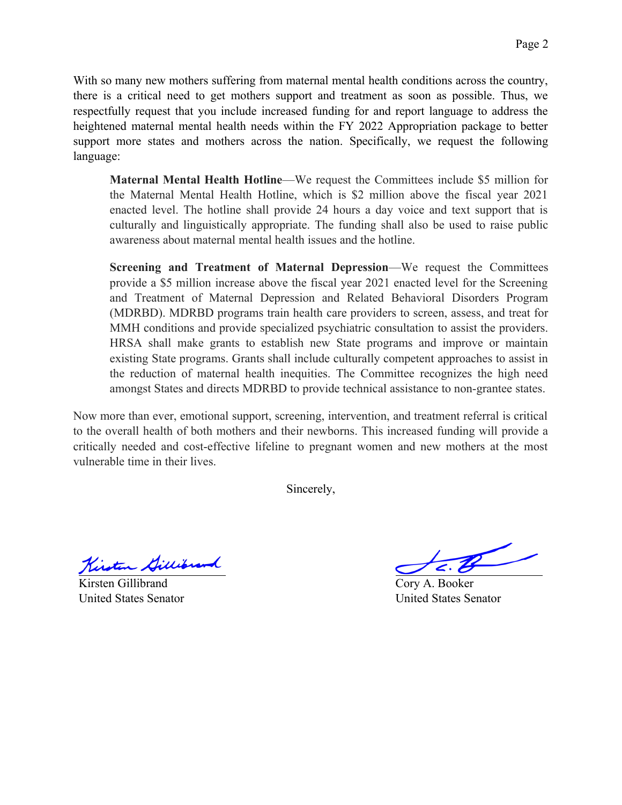With so many new mothers suffering from maternal mental health conditions across the country, there is a critical need to get mothers support and treatment as soon as possible. Thus, we respectfully request that you include increased funding for and report language to address the heightened maternal mental health needs within the FY 2022 Appropriation package to better support more states and mothers across the nation. Specifically, we request the following language:

**Maternal Mental Health Hotline**—We request the Committees include \$5 million for the Maternal Mental Health Hotline, which is \$2 million above the fiscal year 2021 enacted level. The hotline shall provide 24 hours a day voice and text support that is culturally and linguistically appropriate. The funding shall also be used to raise public awareness about maternal mental health issues and the hotline.

**Screening and Treatment of Maternal Depression**—We request the Committees provide a \$5 million increase above the fiscal year 2021 enacted level for the Screening and Treatment of Maternal Depression and Related Behavioral Disorders Program (MDRBD). MDRBD programs train health care providers to screen, assess, and treat for MMH conditions and provide specialized psychiatric consultation to assist the providers. HRSA shall make grants to establish new State programs and improve or maintain existing State programs. Grants shall include culturally competent approaches to assist in the reduction of maternal health inequities. The Committee recognizes the high need amongst States and directs MDRBD to provide technical assistance to non-grantee states.

Now more than ever, emotional support, screening, intervention, and treatment referral is critical to the overall health of both mothers and their newborns. This increased funding will provide a critically needed and cost-effective lifeline to pregnant women and new mothers at the most vulnerable time in their lives.

Sincerely,

Kirsten Gillibrand

Kirsten Gillibrand United States Senator

Cory A. Booker United States Senator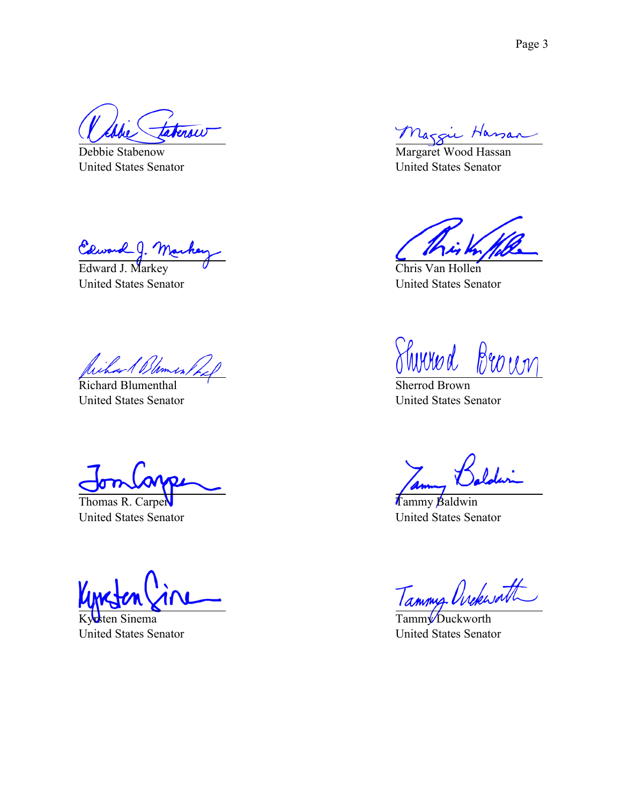tersu

Debbie Stabenow United States Senator

Courand J. Mache

United States Senator

Richard Blomes

Richard Blumenthal United States Senator

Thomas R. Carper United States Senator

Kyrsten Sinema United States Senator

Maggie Hassan

Margaret Wood Hassan United States Senator

Chris Van Hollen United States Senator

Wered Broun

Sherrod Brown United States Senator

Tammy Baldwin United States Senator

Tammy Orckwath

Tamm<sup>y</sup> Duckworth United States Senator